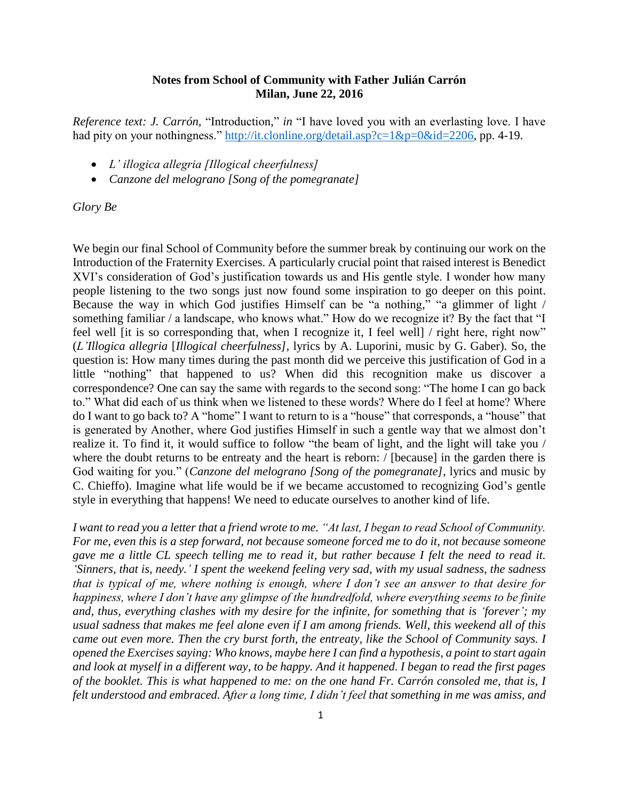## **Notes from School of Community with Father Julián Carrón Milan, June 22, 2016**

*Reference text: J. Carrón,* "Introduction," *in* "I have loved you with an everlasting love. I have had pity on your nothingness." [http://it.clonline.org/detail.asp?c=1&p=0&id=2206,](http://it.clonline.org/detail.asp?c=1&p=0&id=2206) pp. 4-19.

- *L' illogica allegria [Illogical cheerfulness]*
- *Canzone del melograno [Song of the pomegranate]*

*Glory Be*

We begin our final School of Community before the summer break by continuing our work on the Introduction of the Fraternity Exercises. A particularly crucial point that raised interest is Benedict XVI's consideration of God's justification towards us and His gentle style. I wonder how many people listening to the two songs just now found some inspiration to go deeper on this point. Because the way in which God justifies Himself can be "a nothing," "a glimmer of light / something familiar / a landscape, who knows what." How do we recognize it? By the fact that "I feel well *it is so corresponding that, when I recognize it, I feel well / right here, right now*" (*L'Illogica allegria* [*Illogical cheerfulness],* lyrics by A. Luporini, music by G. Gaber). So, the question is: How many times during the past month did we perceive this justification of God in a little "nothing" that happened to us? When did this recognition make us discover a correspondence? One can say the same with regards to the second song: "The home I can go back to." What did each of us think when we listened to these words? Where do I feel at home? Where do I want to go back to? A "home" I want to return to is a "house" that corresponds, a "house" that is generated by Another, where God justifies Himself in such a gentle way that we almost don't realize it. To find it, it would suffice to follow "the beam of light, and the light will take you / where the doubt returns to be entreaty and the heart is reborn: / [because] in the garden there is God waiting for you." (*Canzone del melograno [Song of the pomegranate]*, lyrics and music by C. Chieffo). Imagine what life would be if we became accustomed to recognizing God's gentle style in everything that happens! We need to educate ourselves to another kind of life.

*I want to read you a letter that a friend wrote to me. "At last, I began to read School of Community. For me, even this is a step forward, not because someone forced me to do it, not because someone gave me a little CL speech telling me to read it, but rather because I felt the need to read it. 'Sinners, that is, needy.' I spent the weekend feeling very sad, with my usual sadness, the sadness that is typical of me, where nothing is enough, where I don't see an answer to that desire for happiness, where I don't have any glimpse of the hundredfold, where everything seems to be finite and, thus, everything clashes with my desire for the infinite, for something that is 'forever'; my usual sadness that makes me feel alone even if I am among friends. Well, this weekend all of this came out even more. Then the cry burst forth, the entreaty, like the School of Community says. I opened the Exercises saying: Who knows, maybe here I can find a hypothesis, a point to start again and look at myself in a different way, to be happy. And it happened. I began to read the first pages of the booklet. This is what happened to me: on the one hand Fr. Carrón consoled me, that is, I felt understood and embraced. After a long time, I didn't feel that something in me was amiss, and*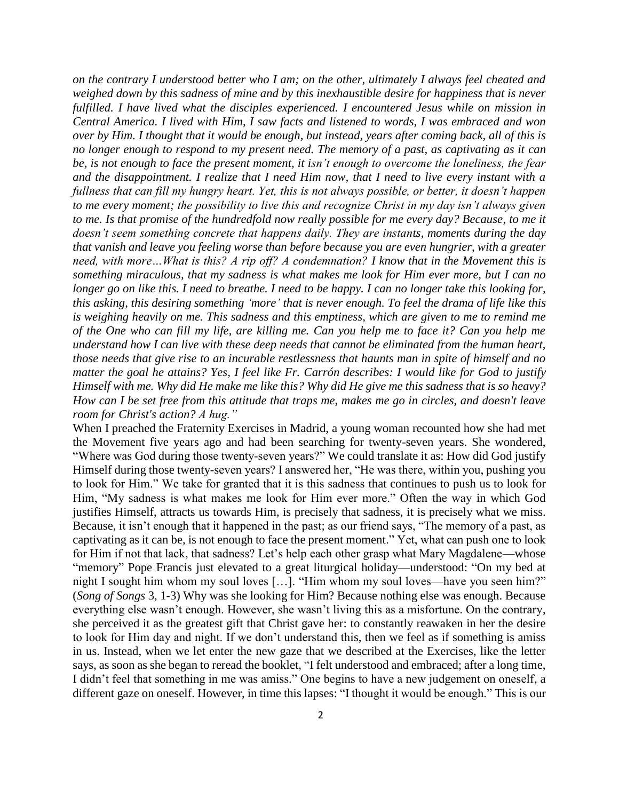*on the contrary I understood better who I am; on the other, ultimately I always feel cheated and weighed down by this sadness of mine and by this inexhaustible desire for happiness that is never fulfilled. I have lived what the disciples experienced. I encountered Jesus while on mission in Central America. I lived with Him, I saw facts and listened to words, I was embraced and won over by Him. I thought that it would be enough, but instead, years after coming back, all of this is no longer enough to respond to my present need. The memory of a past, as captivating as it can be, is not enough to face the present moment, it isn't enough to overcome the loneliness, the fear and the disappointment. I realize that I need Him now, that I need to live every instant with a fullness that can fill my hungry heart. Yet, this is not always possible, or better, it doesn't happen to me every moment; the possibility to live this and recognize Christ in my day isn't always given to me. Is that promise of the hundredfold now really possible for me every day? Because, to me it doesn't seem something concrete that happens daily. They are instants, moments during the day that vanish and leave you feeling worse than before because you are even hungrier, with a greater need, with more…What is this? A rip off? A condemnation? I know that in the Movement this is something miraculous, that my sadness is what makes me look for Him ever more, but I can no longer go on like this. I need to breathe. I need to be happy. I can no longer take this looking for, this asking, this desiring something 'more' that is never enough. To feel the drama of life like this is weighing heavily on me. This sadness and this emptiness, which are given to me to remind me of the One who can fill my life, are killing me. Can you help me to face it? Can you help me understand how I can live with these deep needs that cannot be eliminated from the human heart, those needs that give rise to an incurable restlessness that haunts man in spite of himself and no matter the goal he attains? Yes, I feel like Fr. Carrón describes: I would like for God to justify Himself with me. Why did He make me like this? Why did He give me this sadness that is so heavy? How can I be set free from this attitude that traps me, makes me go in circles, and doesn't leave room for Christ's action? A hug."*

When I preached the Fraternity Exercises in Madrid, a young woman recounted how she had met the Movement five years ago and had been searching for twenty-seven years. She wondered, "Where was God during those twenty-seven years?" We could translate it as: How did God justify Himself during those twenty-seven years? I answered her, "He was there, within you, pushing you to look for Him." We take for granted that it is this sadness that continues to push us to look for Him, "My sadness is what makes me look for Him ever more." Often the way in which God justifies Himself, attracts us towards Him, is precisely that sadness, it is precisely what we miss. Because, it isn't enough that it happened in the past; as our friend says, "The memory of a past, as captivating as it can be, is not enough to face the present moment." Yet, what can push one to look for Him if not that lack, that sadness? Let's help each other grasp what Mary Magdalene—whose "memory" Pope Francis just elevated to a great liturgical holiday—understood: "On my bed at night I sought him whom my soul loves […]. "Him whom my soul loves—have you seen him?" (*Song of Songs* 3, 1-3) Why was she looking for Him? Because nothing else was enough. Because everything else wasn't enough. However, she wasn't living this as a misfortune. On the contrary, she perceived it as the greatest gift that Christ gave her: to constantly reawaken in her the desire to look for Him day and night. If we don't understand this, then we feel as if something is amiss in us. Instead, when we let enter the new gaze that we described at the Exercises, like the letter says, as soon as she began to reread the booklet, "I felt understood and embraced; after a long time, I didn't feel that something in me was amiss." One begins to have a new judgement on oneself, a different gaze on oneself. However, in time this lapses: "I thought it would be enough." This is our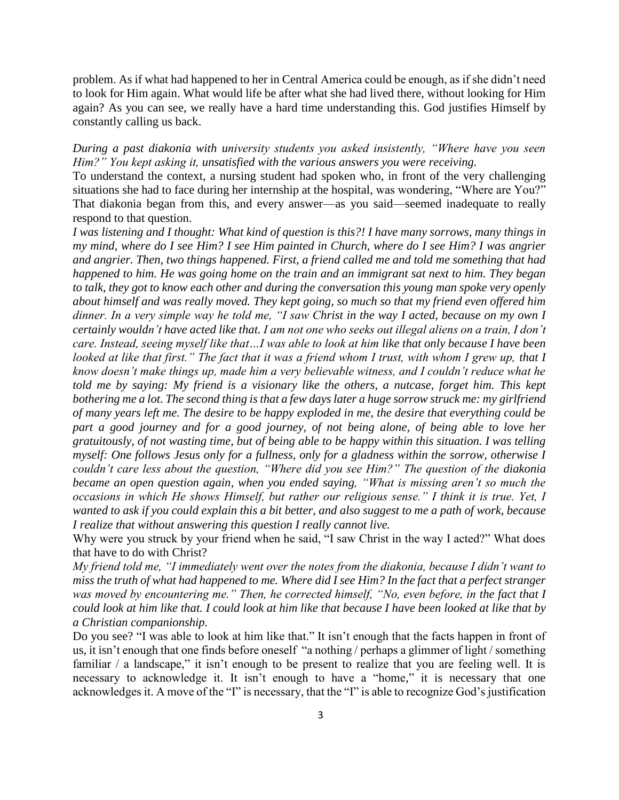problem. As if what had happened to her in Central America could be enough, as if she didn't need to look for Him again. What would life be after what she had lived there, without looking for Him again? As you can see, we really have a hard time understanding this. God justifies Himself by constantly calling us back.

*During a past diakonia with university students you asked insistently, "Where have you seen Him?" You kept asking it, unsatisfied with the various answers you were receiving.* 

To understand the context, a nursing student had spoken who, in front of the very challenging situations she had to face during her internship at the hospital, was wondering, "Where are You?" That diakonia began from this, and every answer—as you said—seemed inadequate to really respond to that question.

*I was listening and I thought: What kind of question is this?! I have many sorrows, many things in my mind, where do I see Him? I see Him painted in Church, where do I see Him? I was angrier and angrier. Then, two things happened. First, a friend called me and told me something that had happened to him. He was going home on the train and an immigrant sat next to him. They began to talk, they got to know each other and during the conversation this young man spoke very openly about himself and was really moved. They kept going, so much so that my friend even offered him dinner. In a very simple way he told me, "I saw Christ in the way I acted, because on my own I certainly wouldn't have acted like that. I am not one who seeks out illegal aliens on a train, I don't care. Instead, seeing myself like that…I was able to look at him like that only because I have been looked at like that first.*" The fact that it was a friend whom I trust, with whom I grew up, that I *know doesn't make things up, made him a very believable witness, and I couldn't reduce what he told me by saying: My friend is a visionary like the others, a nutcase, forget him. This kept bothering me a lot. The second thing is that a few days later a huge sorrow struck me: my girlfriend of many years left me. The desire to be happy exploded in me, the desire that everything could be*  part a good journey and for a good journey, of not being alone, of being able to love her *gratuitously, of not wasting time, but of being able to be happy within this situation. I was telling myself: One follows Jesus only for a fullness, only for a gladness within the sorrow, otherwise I couldn't care less about the question, "Where did you see Him?" The question of the diakonia became an open question again, when you ended saying, "What is missing aren't so much the occasions in which He shows Himself, but rather our religious sense." I think it is true. Yet, I wanted to ask if you could explain this a bit better, and also suggest to me a path of work, because I realize that without answering this question I really cannot live.*

Why were you struck by your friend when he said, "I saw Christ in the way I acted?" What does that have to do with Christ?

*My friend told me, "I immediately went over the notes from the diakonia, because I didn't want to miss the truth of what had happened to me. Where did I see Him? In the fact that a perfect stranger was moved by encountering me." Then, he corrected himself, "No, even before, in the fact that I could look at him like that. I could look at him like that because I have been looked at like that by a Christian companionship.*

Do you see? "I was able to look at him like that." It isn't enough that the facts happen in front of us, it isn't enough that one finds before oneself "a nothing / perhaps a glimmer of light / something familiar / a landscape," it isn't enough to be present to realize that you are feeling well. It is necessary to acknowledge it. It isn't enough to have a "home," it is necessary that one acknowledges it. A move of the "I" is necessary, that the "I" is able to recognize God's justification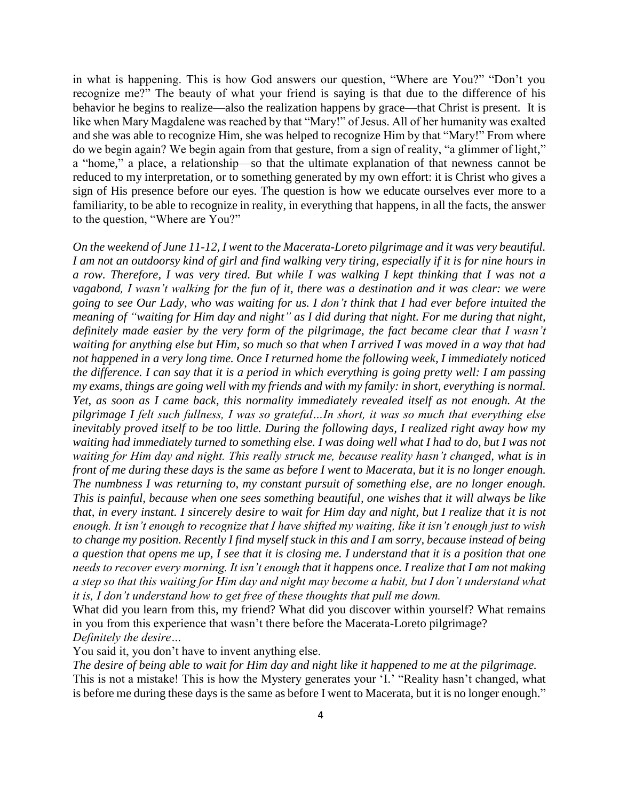in what is happening. This is how God answers our question, "Where are You?" "Don't you recognize me?" The beauty of what your friend is saying is that due to the difference of his behavior he begins to realize—also the realization happens by grace—that Christ is present. It is like when Mary Magdalene was reached by that "Mary!" of Jesus. All of her humanity was exalted and she was able to recognize Him, she was helped to recognize Him by that "Mary!" From where do we begin again? We begin again from that gesture, from a sign of reality, "a glimmer of light," a "home," a place, a relationship—so that the ultimate explanation of that newness cannot be reduced to my interpretation, or to something generated by my own effort: it is Christ who gives a sign of His presence before our eyes. The question is how we educate ourselves ever more to a familiarity, to be able to recognize in reality, in everything that happens, in all the facts, the answer to the question, "Where are You?"

*On the weekend of June 11-12, I went to the Macerata-Loreto pilgrimage and it was very beautiful. I am not an outdoorsy kind of girl and find walking very tiring, especially if it is for nine hours in a row. Therefore, I was very tired. But while I was walking I kept thinking that I was not a vagabond, I wasn't walking for the fun of it, there was a destination and it was clear: we were going to see Our Lady, who was waiting for us. I don't think that I had ever before intuited the meaning of "waiting for Him day and night" as I did during that night. For me during that night, definitely made easier by the very form of the pilgrimage, the fact became clear that I wasn't waiting for anything else but Him, so much so that when I arrived I was moved in a way that had not happened in a very long time. Once I returned home the following week, I immediately noticed the difference. I can say that it is a period in which everything is going pretty well: I am passing my exams, things are going well with my friends and with my family: in short, everything is normal. Yet, as soon as I came back, this normality immediately revealed itself as not enough. At the pilgrimage I felt such fullness, I was so grateful…In short, it was so much that everything else inevitably proved itself to be too little. During the following days, I realized right away how my waiting had immediately turned to something else. I was doing well what I had to do, but I was not waiting for Him day and night. This really struck me, because reality hasn't changed, what is in front of me during these days is the same as before I went to Macerata, but it is no longer enough. The numbness I was returning to, my constant pursuit of something else, are no longer enough. This is painful, because when one sees something beautiful, one wishes that it will always be like that, in every instant. I sincerely desire to wait for Him day and night, but I realize that it is not enough. It isn't enough to recognize that I have shifted my waiting, like it isn't enough just to wish to change my position. Recently I find myself stuck in this and I am sorry, because instead of being a question that opens me up, I see that it is closing me. I understand that it is a position that one needs to recover every morning. It isn't enough that it happens once. I realize that I am not making a step so that this waiting for Him day and night may become a habit, but I don't understand what it is, I don't understand how to get free of these thoughts that pull me down.*

What did you learn from this, my friend? What did you discover within yourself? What remains in you from this experience that wasn't there before the Macerata-Loreto pilgrimage? *Definitely the desire…*

You said it, you don't have to invent anything else.

*The desire of being able to wait for Him day and night like it happened to me at the pilgrimage.* This is not a mistake! This is how the Mystery generates your 'I.' "Reality hasn't changed, what is before me during these days is the same as before I went to Macerata, but it is no longer enough."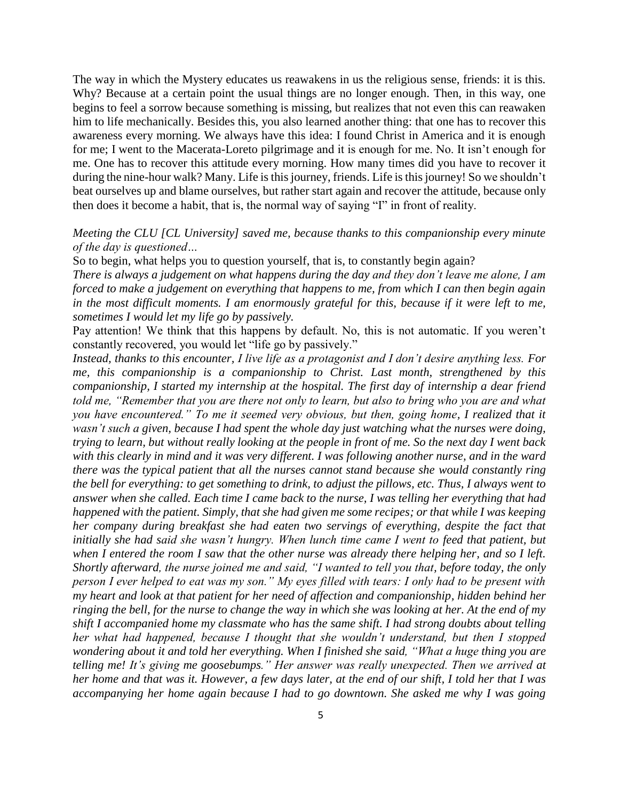The way in which the Mystery educates us reawakens in us the religious sense, friends: it is this. Why? Because at a certain point the usual things are no longer enough. Then, in this way, one begins to feel a sorrow because something is missing, but realizes that not even this can reawaken him to life mechanically. Besides this, you also learned another thing: that one has to recover this awareness every morning. We always have this idea: I found Christ in America and it is enough for me; I went to the Macerata-Loreto pilgrimage and it is enough for me. No. It isn't enough for me. One has to recover this attitude every morning. How many times did you have to recover it during the nine-hour walk? Many. Life is this journey, friends. Life is this journey! So we shouldn't beat ourselves up and blame ourselves, but rather start again and recover the attitude, because only then does it become a habit, that is, the normal way of saying "I" in front of reality.

## *Meeting the CLU [CL University] saved me, because thanks to this companionship every minute of the day is questioned…*

So to begin, what helps you to question yourself, that is, to constantly begin again?

*There is always a judgement on what happens during the day and they don't leave me alone, I am forced to make a judgement on everything that happens to me, from which I can then begin again in the most difficult moments. I am enormously grateful for this, because if it were left to me, sometimes I would let my life go by passively.*

Pay attention! We think that this happens by default. No, this is not automatic. If you weren't constantly recovered, you would let "life go by passively."

*Instead, thanks to this encounter, I live life as a protagonist and I don't desire anything less. For me, this companionship is a companionship to Christ. Last month, strengthened by this companionship, I started my internship at the hospital. The first day of internship a dear friend told me, "Remember that you are there not only to learn, but also to bring who you are and what you have encountered." To me it seemed very obvious, but then, going home, I realized that it wasn't such a given, because I had spent the whole day just watching what the nurses were doing, trying to learn, but without really looking at the people in front of me. So the next day I went back with this clearly in mind and it was very different. I was following another nurse, and in the ward there was the typical patient that all the nurses cannot stand because she would constantly ring the bell for everything: to get something to drink, to adjust the pillows, etc. Thus, I always went to answer when she called. Each time I came back to the nurse, I was telling her everything that had happened with the patient. Simply, that she had given me some recipes; or that while I was keeping her company during breakfast she had eaten two servings of everything, despite the fact that initially she had said she wasn't hungry. When lunch time came I went to feed that patient, but when I entered the room I saw that the other nurse was already there helping her, and so I left. Shortly afterward, the nurse joined me and said, "I wanted to tell you that, before today, the only person I ever helped to eat was my son." My eyes filled with tears: I only had to be present with my heart and look at that patient for her need of affection and companionship, hidden behind her ringing the bell, for the nurse to change the way in which she was looking at her. At the end of my shift I accompanied home my classmate who has the same shift. I had strong doubts about telling her what had happened, because I thought that she wouldn't understand, but then I stopped wondering about it and told her everything. When I finished she said, "What a huge thing you are telling me! It's giving me goosebumps." Her answer was really unexpected. Then we arrived at her home and that was it. However, a few days later, at the end of our shift, I told her that I was accompanying her home again because I had to go downtown. She asked me why I was going*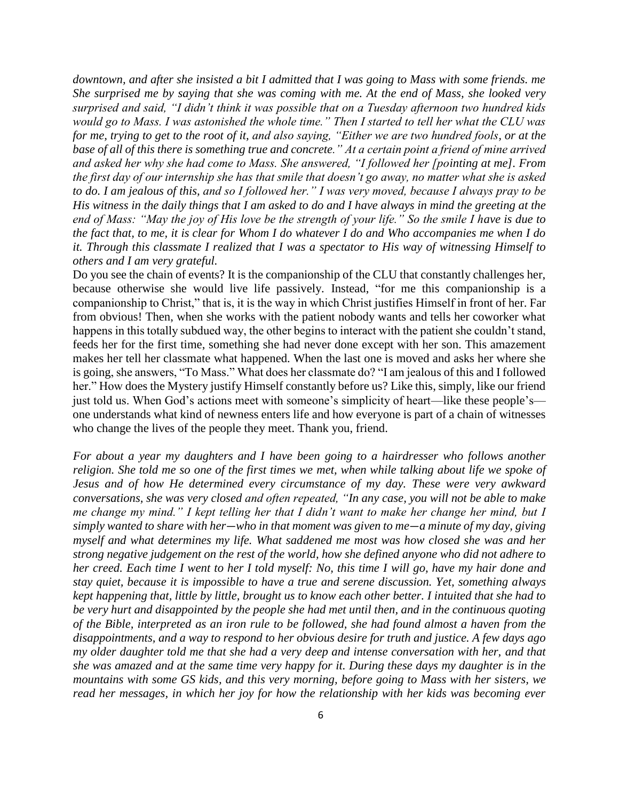*downtown, and after she insisted a bit I admitted that I was going to Mass with some friends. me She surprised me by saying that she was coming with me. At the end of Mass, she looked very surprised and said, "I didn't think it was possible that on a Tuesday afternoon two hundred kids would go to Mass. I was astonished the whole time." Then I started to tell her what the CLU was for me, trying to get to the root of it, and also saying, "Either we are two hundred fools, or at the base of all of this there is something true and concrete." At a certain point a friend of mine arrived and asked her why she had come to Mass. She answered, "I followed her [pointing at me]. From the first day of our internship she has that smile that doesn't go away, no matter what she is asked to do. I am jealous of this, and so I followed her." I was very moved, because I always pray to be His witness in the daily things that I am asked to do and I have always in mind the greeting at the end of Mass: "May the joy of His love be the strength of your life." So the smile I have is due to the fact that, to me, it is clear for Whom I do whatever I do and Who accompanies me when I do it. Through this classmate I realized that I was a spectator to His way of witnessing Himself to others and I am very grateful.*

Do you see the chain of events? It is the companionship of the CLU that constantly challenges her, because otherwise she would live life passively. Instead, "for me this companionship is a companionship to Christ," that is, it is the way in which Christ justifies Himself in front of her. Far from obvious! Then, when she works with the patient nobody wants and tells her coworker what happens in this totally subdued way, the other begins to interact with the patient she couldn't stand, feeds her for the first time, something she had never done except with her son. This amazement makes her tell her classmate what happened. When the last one is moved and asks her where she is going, she answers, "To Mass." What does her classmate do? "I am jealous of this and I followed her." How does the Mystery justify Himself constantly before us? Like this, simply, like our friend just told us. When God's actions meet with someone's simplicity of heart—like these people's one understands what kind of newness enters life and how everyone is part of a chain of witnesses who change the lives of the people they meet. Thank you, friend.

*For about a year my daughters and I have been going to a hairdresser who follows another religion. She told me so one of the first times we met, when while talking about life we spoke of Jesus and of how He determined every circumstance of my day. These were very awkward conversations, she was very closed and often repeated, "In any case, you will not be able to make me change my mind." I kept telling her that I didn't want to make her change her mind, but I simply wanted to share with her*—*who in that moment was given to me*—*a minute of my day, giving myself and what determines my life. What saddened me most was how closed she was and her strong negative judgement on the rest of the world, how she defined anyone who did not adhere to her creed. Each time I went to her I told myself: No, this time I will go, have my hair done and stay quiet, because it is impossible to have a true and serene discussion. Yet, something always kept happening that, little by little, brought us to know each other better. I intuited that she had to be very hurt and disappointed by the people she had met until then, and in the continuous quoting of the Bible, interpreted as an iron rule to be followed, she had found almost a haven from the disappointments, and a way to respond to her obvious desire for truth and justice. A few days ago my older daughter told me that she had a very deep and intense conversation with her, and that she was amazed and at the same time very happy for it. During these days my daughter is in the mountains with some GS kids, and this very morning, before going to Mass with her sisters, we read her messages, in which her joy for how the relationship with her kids was becoming ever*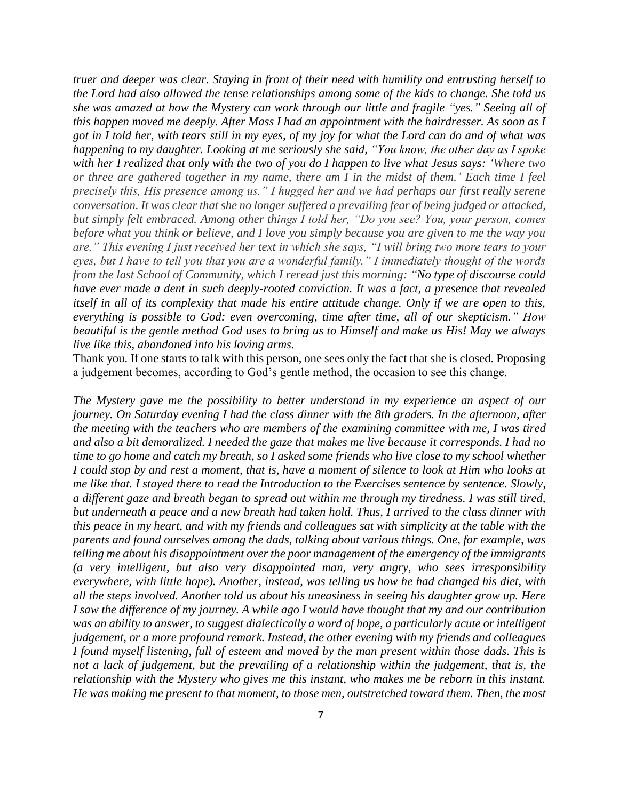*truer and deeper was clear. Staying in front of their need with humility and entrusting herself to the Lord had also allowed the tense relationships among some of the kids to change. She told us she was amazed at how the Mystery can work through our little and fragile "yes." Seeing all of this happen moved me deeply. After Mass I had an appointment with the hairdresser. As soon as I got in I told her, with tears still in my eyes, of my joy for what the Lord can do and of what was happening to my daughter. Looking at me seriously she said, "You know, the other day as I spoke with her I realized that only with the two of you do I happen to live what Jesus says: 'Where two or three are gathered together in my name, there am I in the midst of them.' Each time I feel precisely this, His presence among us." I hugged her and we had perhaps our first really serene conversation. It was clear that she no longer suffered a prevailing fear of being judged or attacked, but simply felt embraced. Among other things I told her, "Do you see? You, your person, comes before what you think or believe, and I love you simply because you are given to me the way you are." This evening I just received her text in which she says, "I will bring two more tears to your eyes, but I have to tell you that you are a wonderful family." I immediately thought of the words from the last School of Community, which I reread just this morning: "No type of discourse could have ever made a dent in such deeply-rooted conviction. It was a fact, a presence that revealed itself in all of its complexity that made his entire attitude change. Only if we are open to this, everything is possible to God: even overcoming, time after time, all of our skepticism." How beautiful is the gentle method God uses to bring us to Himself and make us His! May we always live like this, abandoned into his loving arms.*

Thank you. If one starts to talk with this person, one sees only the fact that she is closed. Proposing a judgement becomes, according to God's gentle method, the occasion to see this change.

*The Mystery gave me the possibility to better understand in my experience an aspect of our journey. On Saturday evening I had the class dinner with the 8th graders. In the afternoon, after the meeting with the teachers who are members of the examining committee with me, I was tired and also a bit demoralized. I needed the gaze that makes me live because it corresponds. I had no time to go home and catch my breath, so I asked some friends who live close to my school whether I could stop by and rest a moment, that is, have a moment of silence to look at Him who looks at me like that. I stayed there to read the Introduction to the Exercises sentence by sentence. Slowly, a different gaze and breath began to spread out within me through my tiredness. I was still tired, but underneath a peace and a new breath had taken hold. Thus, I arrived to the class dinner with this peace in my heart, and with my friends and colleagues sat with simplicity at the table with the parents and found ourselves among the dads, talking about various things. One, for example, was telling me about his disappointment over the poor management of the emergency of the immigrants (a very intelligent, but also very disappointed man, very angry, who sees irresponsibility everywhere, with little hope). Another, instead, was telling us how he had changed his diet, with all the steps involved. Another told us about his uneasiness in seeing his daughter grow up. Here I saw the difference of my journey. A while ago I would have thought that my and our contribution was an ability to answer, to suggest dialectically a word of hope, a particularly acute or intelligent judgement, or a more profound remark. Instead, the other evening with my friends and colleagues I found myself listening, full of esteem and moved by the man present within those dads. This is not a lack of judgement, but the prevailing of a relationship within the judgement, that is, the relationship with the Mystery who gives me this instant, who makes me be reborn in this instant. He was making me present to that moment, to those men, outstretched toward them. Then, the most*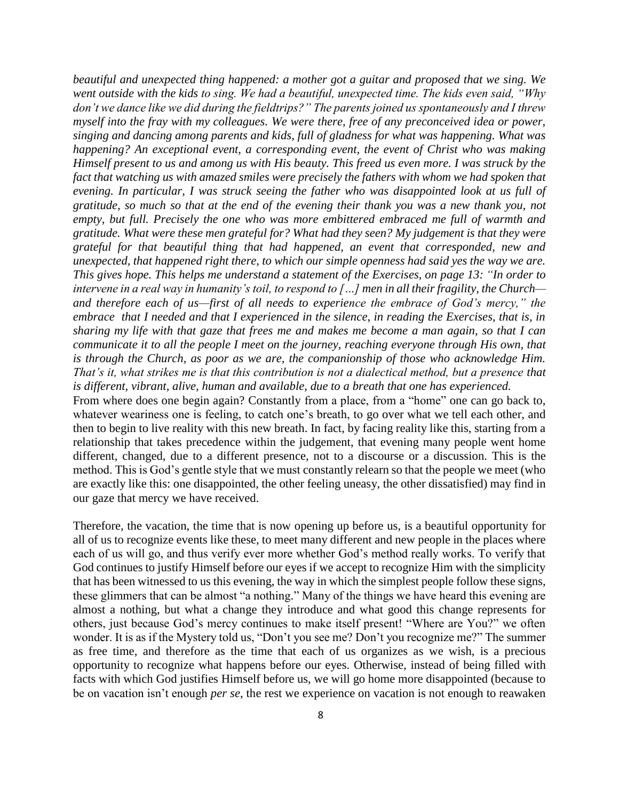*beautiful and unexpected thing happened: a mother got a guitar and proposed that we sing. We went outside with the kids to sing. We had a beautiful, unexpected time. The kids even said, "Why don't we dance like we did during the fieldtrips?" The parents joined us spontaneously and I threw myself into the fray with my colleagues. We were there, free of any preconceived idea or power, singing and dancing among parents and kids, full of gladness for what was happening. What was happening? An exceptional event, a corresponding event, the event of Christ who was making Himself present to us and among us with His beauty. This freed us even more. I was struck by the fact that watching us with amazed smiles were precisely the fathers with whom we had spoken that evening. In particular, I was struck seeing the father who was disappointed look at us full of gratitude, so much so that at the end of the evening their thank you was a new thank you, not empty, but full. Precisely the one who was more embittered embraced me full of warmth and gratitude. What were these men grateful for? What had they seen? My judgement is that they were grateful for that beautiful thing that had happened, an event that corresponded, new and unexpected, that happened right there, to which our simple openness had said yes the way we are. This gives hope. This helps me understand a statement of the Exercises, on page 13: "In order to intervene in a real way in humanity's toil, to respond to […] men in all their fragility, the Church and therefore each of us—first of all needs to experience the embrace of God's mercy," the embrace that I needed and that I experienced in the silence, in reading the Exercises, that is, in sharing my life with that gaze that frees me and makes me become a man again, so that I can communicate it to all the people I meet on the journey, reaching everyone through His own, that is through the Church, as poor as we are, the companionship of those who acknowledge Him. That's it, what strikes me is that this contribution is not a dialectical method, but a presence that is different, vibrant, alive, human and available, due to a breath that one has experienced.*

From where does one begin again? Constantly from a place, from a "home" one can go back to, whatever weariness one is feeling, to catch one's breath, to go over what we tell each other, and then to begin to live reality with this new breath. In fact, by facing reality like this, starting from a relationship that takes precedence within the judgement, that evening many people went home different, changed, due to a different presence, not to a discourse or a discussion. This is the method. This is God's gentle style that we must constantly relearn so that the people we meet (who are exactly like this: one disappointed, the other feeling uneasy, the other dissatisfied) may find in our gaze that mercy we have received.

Therefore, the vacation, the time that is now opening up before us, is a beautiful opportunity for all of us to recognize events like these, to meet many different and new people in the places where each of us will go, and thus verify ever more whether God's method really works. To verify that God continues to justify Himself before our eyes if we accept to recognize Him with the simplicity that has been witnessed to us this evening, the way in which the simplest people follow these signs, these glimmers that can be almost "a nothing." Many of the things we have heard this evening are almost a nothing, but what a change they introduce and what good this change represents for others, just because God's mercy continues to make itself present! "Where are You?" we often wonder. It is as if the Mystery told us, "Don't you see me? Don't you recognize me?" The summer as free time, and therefore as the time that each of us organizes as we wish, is a precious opportunity to recognize what happens before our eyes. Otherwise, instead of being filled with facts with which God justifies Himself before us, we will go home more disappointed (because to be on vacation isn't enough *per se*, the rest we experience on vacation is not enough to reawaken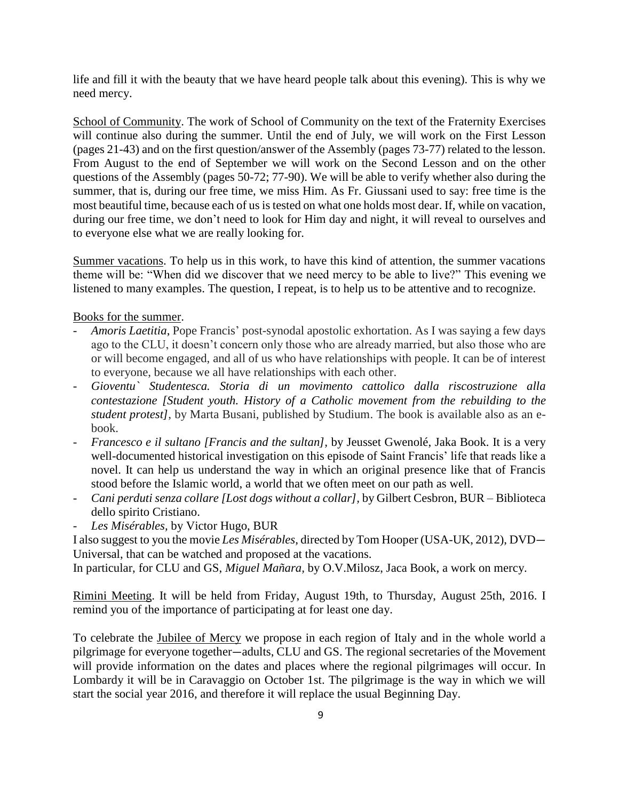life and fill it with the beauty that we have heard people talk about this evening). This is why we need mercy.

School of Community. The work of School of Community on the text of the Fraternity Exercises will continue also during the summer. Until the end of July, we will work on the First Lesson (pages 21-43) and on the first question/answer of the Assembly (pages 73-77) related to the lesson. From August to the end of September we will work on the Second Lesson and on the other questions of the Assembly (pages 50-72; 77-90). We will be able to verify whether also during the summer, that is, during our free time, we miss Him. As Fr. Giussani used to say: free time is the most beautiful time, because each of us is tested on what one holds most dear. If, while on vacation, during our free time, we don't need to look for Him day and night, it will reveal to ourselves and to everyone else what we are really looking for.

Summer vacations. To help us in this work, to have this kind of attention, the summer vacations theme will be: "When did we discover that we need mercy to be able to live?" This evening we listened to many examples. The question, I repeat, is to help us to be attentive and to recognize.

Books for the summer.

- *Amoris Laetitia*, Pope Francis' post-synodal apostolic exhortation. As I was saying a few days ago to the CLU, it doesn't concern only those who are already married, but also those who are or will become engaged, and all of us who have relationships with people. It can be of interest to everyone, because we all have relationships with each other.
- *Gioventu` Studentesca. Storia di un movimento cattolico dalla riscostruzione alla contestazione [Student youth. History of a Catholic movement from the rebuilding to the student protest]*, by Marta Busani, published by Studium. The book is available also as an ebook.
- *Francesco e il sultano [Francis and the sultan],* by Jeusset Gwenolé, Jaka Book. It is a very well-documented historical investigation on this episode of Saint Francis' life that reads like a novel. It can help us understand the way in which an original presence like that of Francis stood before the Islamic world, a world that we often meet on our path as well.
- *Cani perduti senza collare [Lost dogs without a collar],* by Gilbert Cesbron, BUR Biblioteca dello spirito Cristiano.
- *Les Misérables,* by Victor Hugo, BUR

I also suggest to you the movie *Les Misérables*, directed by Tom Hooper (USA-UK, 2012), DVD— Universal, that can be watched and proposed at the vacations.

In particular, for CLU and GS, *Miguel Mañara,* by O.V.Milosz, Jaca Book, a work on mercy.

Rimini Meeting. It will be held from Friday, August 19th, to Thursday, August 25th, 2016. I remind you of the importance of participating at for least one day.

To celebrate the Jubilee of Mercy we propose in each region of Italy and in the whole world a pilgrimage for everyone together—adults, CLU and GS. The regional secretaries of the Movement will provide information on the dates and places where the regional pilgrimages will occur. In Lombardy it will be in Caravaggio on October 1st. The pilgrimage is the way in which we will start the social year 2016, and therefore it will replace the usual Beginning Day.